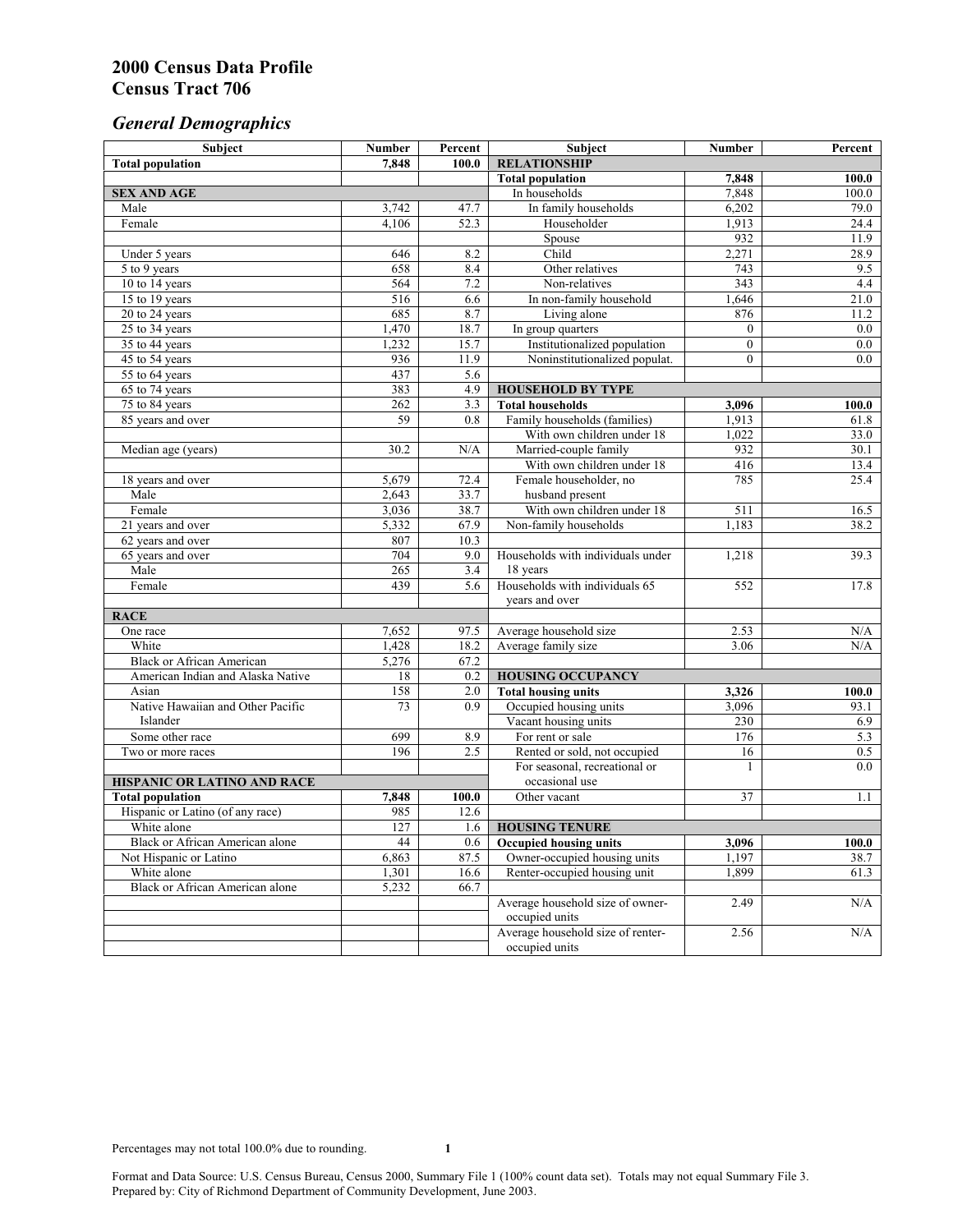# *General Demographics*

| Subject                                | <b>Number</b> | Percent    | Subject                                             | Number         | Percent      |
|----------------------------------------|---------------|------------|-----------------------------------------------------|----------------|--------------|
| <b>Total population</b>                | 7.848         | 100.0      | <b>RELATIONSHIP</b>                                 |                |              |
|                                        |               |            | <b>Total population</b>                             | 7,848          | 100.0        |
| <b>SEX AND AGE</b>                     |               |            | In households                                       | 7,848          | 100.0        |
| Male                                   | 3,742         | 47.7       | In family households                                | 6,202          | 79.0         |
| Female                                 | 4,106         | 52.3       | Householder                                         | 1,913          | 24.4         |
|                                        |               |            | Spouse                                              | 932            | 11.9         |
| Under 5 years                          | 646           | 8.2        | Child                                               | 2,271          | 28.9         |
| 5 to 9 years                           | 658           | 8.4        | Other relatives                                     | 743            | 9.5          |
| 10 to 14 years                         | 564           | 7.2        | Non-relatives                                       | 343            | 4.4          |
| 15 to 19 years                         | 516           | 6.6        | In non-family household                             | 1,646          | 21.0         |
| 20 to 24 years                         | 685           | 8.7        | Living alone                                        | 876            | 11.2         |
| 25 to 34 years                         | 1,470         | 18.7       | In group quarters                                   | $\overline{0}$ | 0.0          |
| 35 to 44 years                         | 1,232         | 15.7       | Institutionalized population                        | $\overline{0}$ | 0.0          |
| 45 to 54 years                         | 936           | 11.9       | Noninstitutionalized populat.                       | $\overline{0}$ | 0.0          |
| 55 to 64 years                         | 437<br>383    | 5.6<br>4.9 |                                                     |                |              |
| 65 to 74 years                         |               | 3.3        | <b>HOUSEHOLD BY TYPE</b><br><b>Total households</b> |                |              |
| 75 to 84 years                         | 262<br>59     | 0.8        | Family households (families)                        | 3,096<br>1,913 | 100.0        |
| 85 years and over                      |               |            | With own children under 18                          | 1,022          | 61.8<br>33.0 |
| Median age (years)                     | 30.2          | N/A        | Married-couple family                               | 932            | 30.1         |
|                                        |               |            | With own children under 18                          | 416            | 13.4         |
| 18 years and over                      | 5,679         | 72.4       | Female householder, no                              | 785            | 25.4         |
| Male                                   | 2,643         | 33.7       | husband present                                     |                |              |
| Female                                 | 3,036         | 38.7       | With own children under 18                          | 511            | 16.5         |
| 21 years and over                      | 5,332         | 67.9       | Non-family households                               | 1,183          | 38.2         |
| 62 years and over                      | 807           | 10.3       |                                                     |                |              |
| 65 years and over                      | 704           | 9.0        | Households with individuals under                   | 1,218          | 39.3         |
| Male                                   | 265           | 3.4        | 18 years                                            |                |              |
| Female                                 | 439           | 5.6        | Households with individuals 65                      | 552            | 17.8         |
|                                        |               |            | years and over                                      |                |              |
| <b>RACE</b>                            |               |            |                                                     |                |              |
| One race                               | 7,652         | 97.5       | Average household size                              | 2.53           | N/A          |
| White                                  | 1,428         | 18.2       | Average family size                                 | 3.06           | N/A          |
| <b>Black or African American</b>       | 5,276         | 67.2       |                                                     |                |              |
| American Indian and Alaska Native      | 18            | 0.2        | <b>HOUSING OCCUPANCY</b>                            |                |              |
| Asian                                  | 158           | 2.0        | <b>Total housing units</b>                          | 3,326          | 100.0        |
| Native Hawaiian and Other Pacific      | 73            | 0.9        | Occupied housing units                              | 3,096          | 93.1         |
| Islander                               |               |            | Vacant housing units                                | 230            | 6.9          |
| Some other race                        | 699           | 8.9        | For rent or sale                                    | 176            | 5.3          |
| Two or more races                      | 196           | 2.5        | Rented or sold, not occupied                        | 16             | 0.5          |
|                                        |               |            | For seasonal, recreational or                       | 1              | 0.0          |
| HISPANIC OR LATINO AND RACE            |               |            | occasional use                                      |                |              |
| <b>Total population</b>                | 7,848         | 100.0      | Other vacant                                        | 37             | 1.1          |
| Hispanic or Latino (of any race)       | 985           | 12.6       |                                                     |                |              |
| White alone                            | 127           | 1.6        | <b>HOUSING TENURE</b>                               |                |              |
| Black or African American alone        | 44            | 0.6        | <b>Occupied housing units</b>                       | 3,096          | 100.0        |
| Not Hispanic or Latino                 | 6,863         | 87.5       | Owner-occupied housing units                        | 1,197          | 38.7         |
| White alone                            | 1,301         | 16.6       | Renter-occupied housing unit                        | 1.899          | 61.3         |
| <b>Black or African American alone</b> | 5,232         | 66.7       |                                                     |                |              |
|                                        |               |            | Average household size of owner-                    | 2.49           | N/A          |
|                                        |               |            | occupied units                                      |                |              |
|                                        |               |            | Average household size of renter-                   | 2.56           | N/A          |
|                                        |               |            | occupied units                                      |                |              |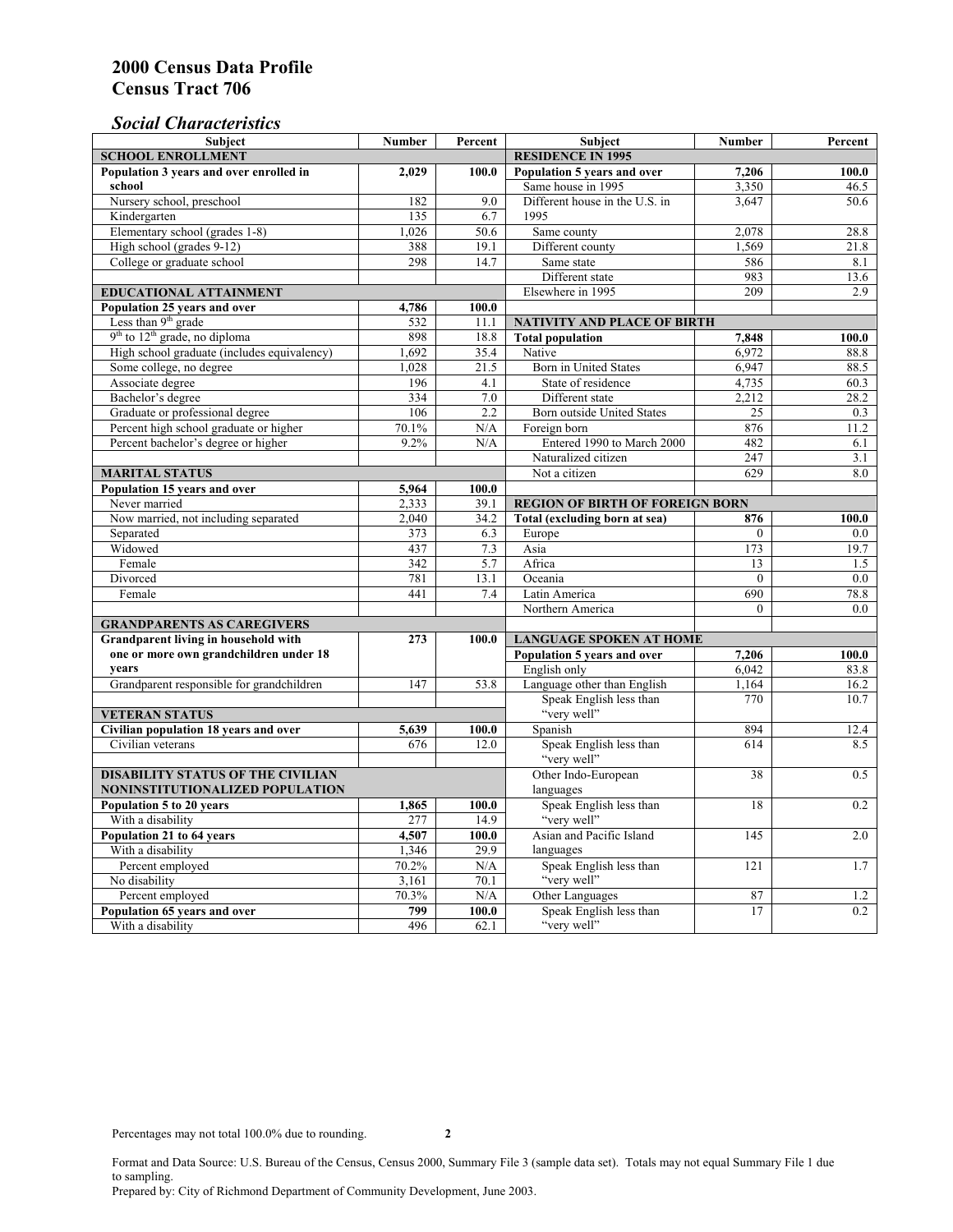### *Social Characteristics*

| <b>Subject</b>                              | <b>Number</b> | Percent | <b>Subject</b>                         | <b>Number</b>    | Percent |  |
|---------------------------------------------|---------------|---------|----------------------------------------|------------------|---------|--|
| <b>SCHOOL ENROLLMENT</b>                    |               |         | <b>RESIDENCE IN 1995</b>               |                  |         |  |
| Population 3 years and over enrolled in     | 2,029         | 100.0   | Population 5 years and over            | 7,206            | 100.0   |  |
| school                                      |               |         | Same house in 1995                     | 3,350            | 46.5    |  |
| Nursery school, preschool                   | 182           | 9.0     | Different house in the U.S. in         | 3.647            | 50.6    |  |
| Kindergarten                                | 135           | 6.7     | 1995                                   |                  |         |  |
| Elementary school (grades 1-8)              | 1,026         | 50.6    | Same county                            | 2,078            | 28.8    |  |
| High school (grades 9-12)                   | 388           | 19.1    | Different county                       | 1,569            | 21.8    |  |
| College or graduate school                  | 298           | 14.7    | Same state                             | 586              | 8.1     |  |
|                                             |               |         | Different state                        | 983              | 13.6    |  |
| <b>EDUCATIONAL ATTAINMENT</b>               |               |         | Elsewhere in 1995                      | 209              | 2.9     |  |
| Population 25 years and over                | 4,786         | 100.0   |                                        |                  |         |  |
| Less than 9 <sup>th</sup> grade             | 532           | 11.1    | NATIVITY AND PLACE OF BIRTH            |                  |         |  |
| $9th$ to $12th$ grade, no diploma           | 898           | 18.8    | <b>Total population</b>                | 7,848            | 100.0   |  |
| High school graduate (includes equivalency) | 1.692         | 35.4    | Native                                 | 6.972            | 88.8    |  |
| Some college, no degree                     | 1,028         | 21.5    | <b>Born</b> in United States           | 6,947            | 88.5    |  |
| Associate degree                            | 196           | 4.1     | State of residence                     | 4,735            | 60.3    |  |
| Bachelor's degree                           | 334           | 7.0     | Different state                        | 2,212            | 28.2    |  |
| Graduate or professional degree             | 106           | 2.2     | Born outside United States             | 25               | 0.3     |  |
| Percent high school graduate or higher      | 70.1%         | N/A     | Foreign born                           | 876              | 11.2    |  |
| Percent bachelor's degree or higher         | 9.2%          | N/A     | Entered 1990 to March 2000             | 482              | 6.1     |  |
|                                             |               |         | Naturalized citizen                    | $\overline{247}$ | 3.1     |  |
| <b>MARITAL STATUS</b>                       | Not a citizen | 629     | 8.0                                    |                  |         |  |
| Population 15 years and over                | 5,964         | 100.0   |                                        |                  |         |  |
| Never married                               | 2,333         | 39.1    | <b>REGION OF BIRTH OF FOREIGN BORN</b> |                  |         |  |
| Now married, not including separated        | 2.040         | 34.2    | Total (excluding born at sea)          | 876              | 100.0   |  |
| Separated                                   | 373           | 6.3     | Europe                                 | $\theta$         | 0.0     |  |
| Widowed                                     | 437           | 7.3     | Asia                                   | 173              | 19.7    |  |
| Female                                      | 342           | 5.7     | Africa                                 | 13               | 1.5     |  |
| Divorced                                    | 781           | 13.1    | Oceania                                | $\theta$         | 0.0     |  |
| Female                                      | 441           | 7.4     | Latin America                          | 690              | 78.8    |  |
|                                             |               |         | Northern America                       | $\theta$         | 0.0     |  |
| <b>GRANDPARENTS AS CAREGIVERS</b>           |               |         |                                        |                  |         |  |
| Grandparent living in household with<br>273 |               | 100.0   | <b>LANGUAGE SPOKEN AT HOME</b>         |                  |         |  |
| one or more own grandchildren under 18      |               |         | Population 5 years and over            | 7,206            | 100.0   |  |
| years                                       |               |         | English only                           | 6,042            | 83.8    |  |
| Grandparent responsible for grandchildren   | 147           | 53.8    | Language other than English            | 1.164            | 16.2    |  |
|                                             |               |         | Speak English less than                | 770              | 10.7    |  |
| <b>VETERAN STATUS</b>                       |               |         | "very well"                            |                  |         |  |
| Civilian population 18 years and over       | 5,639         | 100.0   | Spanish                                | 894              | 12.4    |  |
| Civilian veterans                           | 676           | 12.0    | Speak English less than                | 614              | 8.5     |  |
|                                             |               |         | "very well"                            |                  |         |  |
| <b>DISABILITY STATUS OF THE CIVILIAN</b>    |               |         | Other Indo-European                    | 38               | 0.5     |  |
| NONINSTITUTIONALIZED POPULATION             |               |         | languages                              |                  |         |  |
| Population 5 to 20 years                    | 1,865         | 100.0   | Speak English less than                | 18               | 0.2     |  |
| With a disability                           | 277           | 14.9    | "very well"                            |                  |         |  |
| Population 21 to 64 years                   | 4.507         | 100.0   | Asian and Pacific Island               | 145              | 2.0     |  |
| With a disability                           | 1,346         | 29.9    | languages                              |                  |         |  |
| Percent employed                            | 70.2%         | N/A     | Speak English less than                | 121              | 1.7     |  |
| No disability                               | 3,161         | 70.1    | "very well"                            |                  |         |  |
| Percent employed                            | 70.3%         | N/A     | Other Languages                        | 87               | 1.2     |  |
| Population 65 years and over                | 799           | 100.0   | Speak English less than                | 17               | 0.2     |  |
| With a disability                           | 496           | 62.1    | "very well"                            |                  |         |  |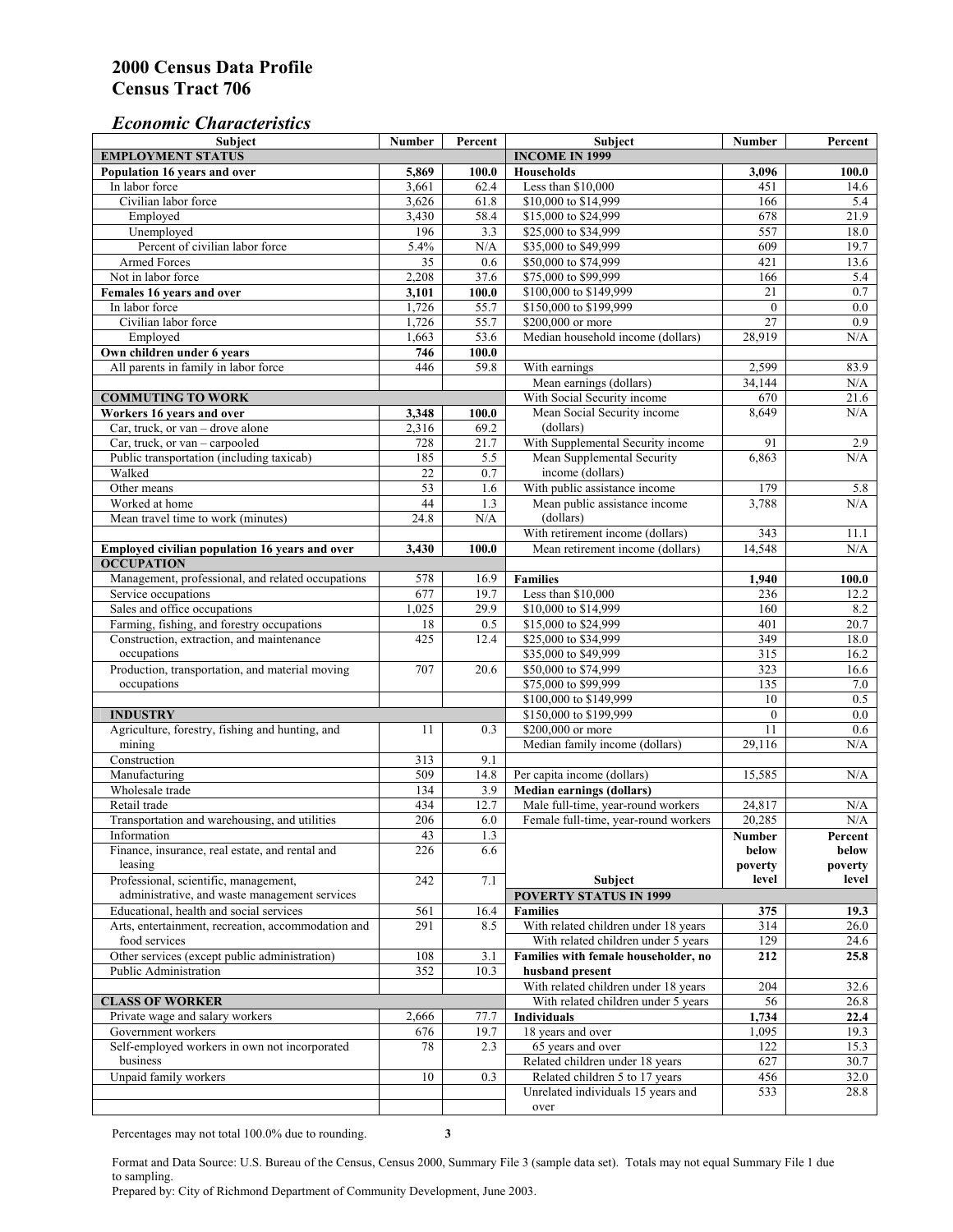#### *Economic Characteristics*

| <b>Subject</b>                                                     | Number          | Percent | Subject                              | Number           | Percent |
|--------------------------------------------------------------------|-----------------|---------|--------------------------------------|------------------|---------|
| <b>EMPLOYMENT STATUS</b>                                           |                 |         | <b>INCOME IN 1999</b>                |                  |         |
| Population 16 years and over                                       | 5,869           | 100.0   | <b>Households</b>                    | 3,096            | 100.0   |
| In labor force                                                     | 3,661           | 62.4    | Less than \$10,000                   | 451              | 14.6    |
| Civilian labor force                                               | 3,626           | 61.8    | \$10,000 to \$14,999                 | 166              | 5.4     |
| Employed                                                           | 3,430           | 58.4    | \$15,000 to \$24,999                 | 678              | 21.9    |
| Unemployed                                                         | 196             | 3.3     | \$25,000 to \$34,999                 | 557              | 18.0    |
| Percent of civilian labor force                                    | 5.4%            | N/A     | \$35,000 to \$49,999                 | 609              | 19.7    |
| Armed Forces                                                       | $\overline{35}$ | 0.6     | \$50,000 to \$74,999                 | 421              | 13.6    |
| Not in labor force                                                 | 2,208           | 37.6    | \$75,000 to \$99,999                 | 166              | 5.4     |
| Females 16 years and over                                          | 3,101           | 100.0   | \$100,000 to \$149,999               | 21               | $0.7\,$ |
| In labor force                                                     | 1,726           | 55.7    | \$150,000 to \$199,999               | $\overline{0}$   | 0.0     |
| Civilian labor force                                               | 1,726           | 55.7    | \$200,000 or more                    | $\overline{27}$  | 0.9     |
| Employed                                                           | 1,663           | 53.6    | Median household income (dollars)    | 28,919           | N/A     |
| Own children under 6 years                                         | 746             | 100.0   |                                      |                  |         |
| All parents in family in labor force                               | 446             | 59.8    | With earnings                        | 2,599            | 83.9    |
|                                                                    |                 |         | Mean earnings (dollars)              | 34,144           | N/A     |
| <b>COMMUTING TO WORK</b>                                           |                 |         | With Social Security income          | 670              | 21.6    |
| Workers 16 years and over                                          | 3,348           | 100.0   | Mean Social Security income          | 8,649            | N/A     |
| Car, truck, or van – drove alone                                   | 2,316           | 69.2    | (dollars)                            |                  |         |
| Car, truck, or van - carpooled                                     | 728             | 21.7    | With Supplemental Security income    | 91               | 2.9     |
| Public transportation (including taxicab)                          | 185             | 5.5     | Mean Supplemental Security           | 6,863            | N/A     |
| Walked                                                             | 22              | 0.7     | income (dollars)                     |                  |         |
| Other means                                                        | $\overline{53}$ | 1.6     | With public assistance income        | 179              | 5.8     |
| Worked at home                                                     | 44              | 1.3     | Mean public assistance income        | 3,788            | N/A     |
| Mean travel time to work (minutes)                                 | 24.8            | N/A     | (dollars)                            |                  |         |
|                                                                    |                 |         | With retirement income (dollars)     | 343              | 11.1    |
| Employed civilian population 16 years and over                     | 3,430           | 100.0   | Mean retirement income (dollars)     | 14,548           | N/A     |
| <b>OCCUPATION</b>                                                  |                 |         |                                      |                  |         |
| Management, professional, and related occupations                  | 578             | 16.9    | <b>Families</b>                      | 1,940            | 100.0   |
| Service occupations                                                | 677             | 19.7    | Less than \$10,000                   | 236              | 12.2    |
| Sales and office occupations                                       | 1,025           | 29.9    | \$10,000 to \$14,999                 | 160              | 8.2     |
| Farming, fishing, and forestry occupations                         | 18              | 0.5     | \$15,000 to \$24,999                 | $\overline{401}$ | 20.7    |
| Construction, extraction, and maintenance                          | 425             | 12.4    | \$25,000 to \$34,999                 | 349              | 18.0    |
| occupations                                                        |                 |         | \$35,000 to \$49,999                 | $\overline{315}$ | 16.2    |
| Production, transportation, and material moving                    | 707             | 20.6    | \$50,000 to \$74,999                 | 323              | 16.6    |
| occupations                                                        |                 |         | \$75,000 to \$99,999                 | 135              | 7.0     |
|                                                                    |                 |         | \$100,000 to \$149,999               | 10               | 0.5     |
|                                                                    |                 |         | \$150,000 to \$199,999               | $\mathbf{0}$     | 0.0     |
| <b>INDUSTRY</b><br>Agriculture, forestry, fishing and hunting, and | 11              | 0.3     | \$200,000 or more                    | 11               | 0.6     |
| mining                                                             |                 |         | Median family income (dollars)       | 29,116           | N/A     |
| Construction                                                       | 313             | 9.1     |                                      |                  |         |
| Manufacturing                                                      | 509             |         |                                      |                  | N/A     |
|                                                                    |                 | 14.8    | Per capita income (dollars)          | 15,585           |         |
| Wholesale trade                                                    | 134             | 3.9     | <b>Median earnings (dollars)</b>     |                  |         |
| Retail trade                                                       | 434             | 12.7    | Male full-time, year-round workers   | 24,817           | N/A     |
| Transportation and warehousing, and utilities                      | 206             | 6.0     | Female full-time, year-round workers | 20,285           | N/A     |
| Information                                                        | 43              | 1.3     |                                      | Number           | Percent |
| Finance, insurance, real estate, and rental and                    | 226             | 6.6     |                                      | below            | below   |
| leasing                                                            |                 |         |                                      | poverty          | poverty |
| Professional, scientific, management,                              | 242             | 7.1     | Subject                              | level            | level   |
| administrative, and waste management services                      |                 |         | <b>POVERTY STATUS IN 1999</b>        |                  |         |
| Educational, health and social services                            | 561             | 16.4    | <b>Families</b>                      | 375              | 19.3    |
| Arts, entertainment, recreation, accommodation and                 | 291             | 8.5     | With related children under 18 years | 314              | 26.0    |
| food services                                                      |                 |         | With related children under 5 years  | 129              | 24.6    |
| Other services (except public administration)                      | 108             | 3.1     | Families with female householder, no | 212              | 25.8    |
| Public Administration                                              | 352             | 10.3    | husband present                      |                  |         |
|                                                                    |                 |         | With related children under 18 years | 204              | 32.6    |
| <b>CLASS OF WORKER</b>                                             |                 |         | With related children under 5 years  | 56               | 26.8    |
| Private wage and salary workers                                    | 2,666           | 77.7    | Individuals                          | 1,734            | 22.4    |
| Government workers                                                 | 676             | 19.7    | 18 years and over                    | 1,095            | 19.3    |
| Self-employed workers in own not incorporated                      | 78              | 2.3     | 65 years and over                    | 122              | 15.3    |
| business                                                           |                 |         | Related children under 18 years      | 627              | 30.7    |
| Unpaid family workers                                              | 10              | 0.3     | Related children 5 to 17 years       | 456              | 32.0    |
|                                                                    |                 |         | Unrelated individuals 15 years and   | 533              | 28.8    |
|                                                                    |                 |         | over                                 |                  |         |

Percentages may not total 100.0% due to rounding. **3** 

Format and Data Source: U.S. Bureau of the Census, Census 2000, Summary File 3 (sample data set). Totals may not equal Summary File 1 due to sampling.

Prepared by: City of Richmond Department of Community Development, June 2003.